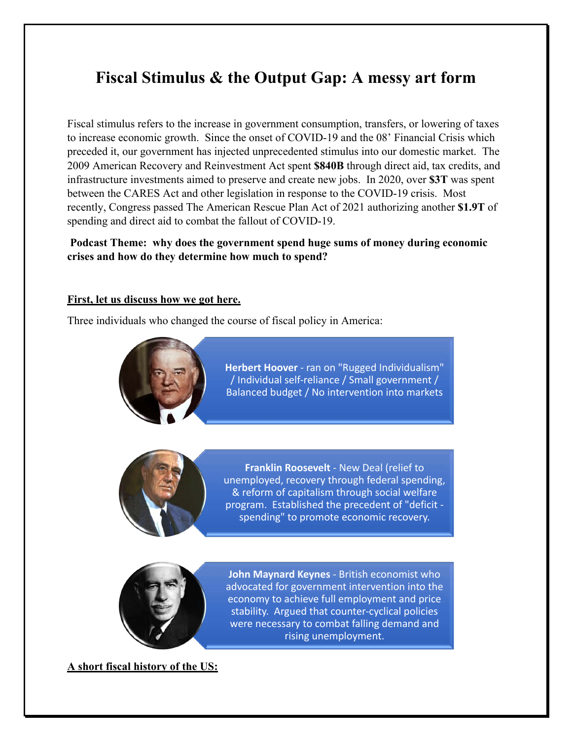# **Fiscal Stimulus & the Output Gap: A messy art form**

Fiscal stimulus refers to the increase in government consumption, transfers, or lowering of taxes to increase economic growth. Since the onset of COVID-19 and the 08' Financial Crisis which preceded it, our government has injected unprecedented stimulus into our domestic market. The 2009 American Recovery and Reinvestment Act spent **\$840B** through direct aid, tax credits, and infrastructure investments aimed to preserve and create new jobs. In 2020, over **\$3T** was spent between the CARES Act and other legislation in response to the COVID-19 crisis. Most recently, Congress passed The American Rescue Plan Act of 2021 authorizing another **\$1.9T** of spending and direct aid to combat the fallout of COVID-19.

# **Podcast Theme: why does the government spend huge sums of money during economic crises and how do they determine how much to spend?**

#### **First, let us discuss how we got here.**

Three individuals who changed the course of fiscal policy in America:



**Herbert Hoover** - ran on "Rugged Individualism" / Individual self-reliance / Small government / Balanced budget / No intervention into markets



**Franklin Roosevelt** - New Deal (relief to unemployed, recovery through federal spending, & reform of capitalism through social welfare program. Established the precedent of "deficit spending" to promote economic recovery.



**John Maynard Keynes** - British economist who advocated for government intervention into the economy to achieve full employment and price stability. Argued that counter-cyclical policies were necessary to combat falling demand and rising unemployment.

**A short fiscal history of the US:**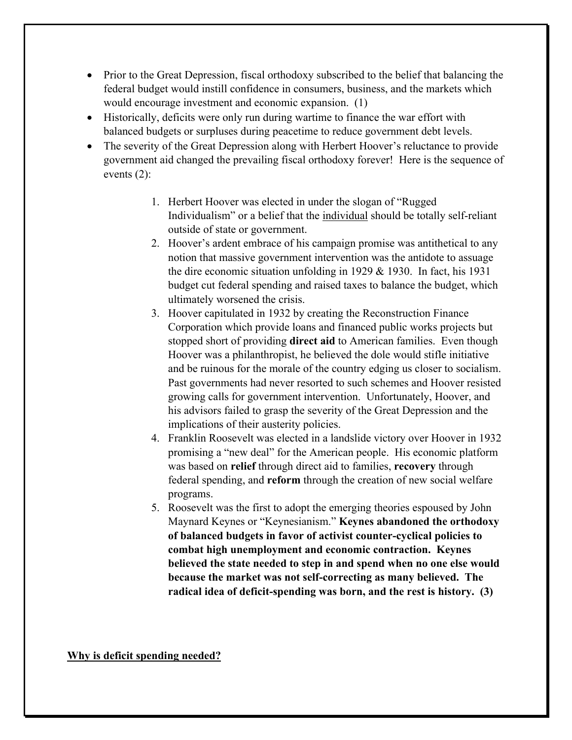- Prior to the Great Depression, fiscal orthodoxy subscribed to the belief that balancing the federal budget would instill confidence in consumers, business, and the markets which would encourage investment and economic expansion. (1)
- Historically, deficits were only run during wartime to finance the war effort with balanced budgets or surpluses during peacetime to reduce government debt levels.
- The severity of the Great Depression along with Herbert Hoover's reluctance to provide government aid changed the prevailing fiscal orthodoxy forever! Here is the sequence of events (2):
	- 1. Herbert Hoover was elected in under the slogan of "Rugged Individualism" or a belief that the individual should be totally self-reliant outside of state or government.
	- 2. Hoover's ardent embrace of his campaign promise was antithetical to any notion that massive government intervention was the antidote to assuage the dire economic situation unfolding in 1929  $&$  1930. In fact, his 1931 budget cut federal spending and raised taxes to balance the budget, which ultimately worsened the crisis.
	- 3. Hoover capitulated in 1932 by creating the Reconstruction Finance Corporation which provide loans and financed public works projects but stopped short of providing **direct aid** to American families. Even though Hoover was a philanthropist, he believed the dole would stifle initiative and be ruinous for the morale of the country edging us closer to socialism. Past governments had never resorted to such schemes and Hoover resisted growing calls for government intervention. Unfortunately, Hoover, and his advisors failed to grasp the severity of the Great Depression and the implications of their austerity policies.
	- 4. Franklin Roosevelt was elected in a landslide victory over Hoover in 1932 promising a "new deal" for the American people. His economic platform was based on **relief** through direct aid to families, **recovery** through federal spending, and **reform** through the creation of new social welfare programs.
	- 5. Roosevelt was the first to adopt the emerging theories espoused by John Maynard Keynes or "Keynesianism." **Keynes abandoned the orthodoxy of balanced budgets in favor of activist counter-cyclical policies to combat high unemployment and economic contraction. Keynes believed the state needed to step in and spend when no one else would because the market was not self-correcting as many believed. The radical idea of deficit-spending was born, and the rest is history. (3)**

**Why is deficit spending needed?**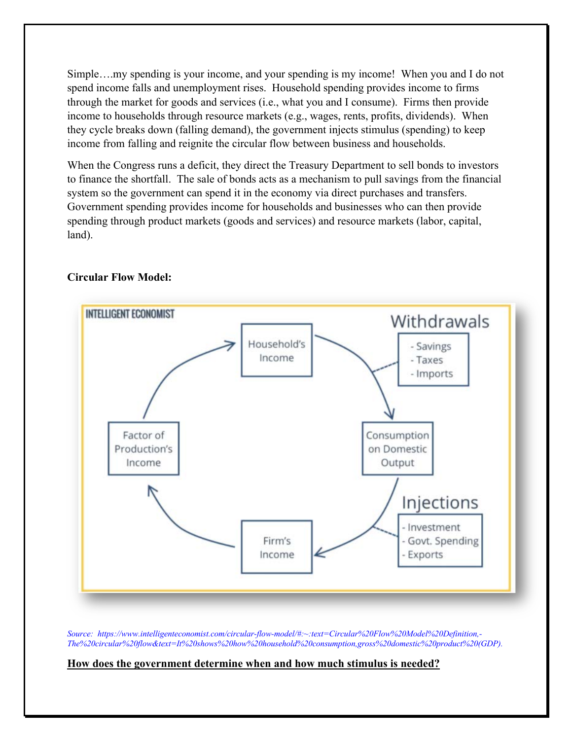Simple….my spending is your income, and your spending is my income! When you and I do not spend income falls and unemployment rises. Household spending provides income to firms through the market for goods and services (i.e., what you and I consume). Firms then provide income to households through resource markets (e.g., wages, rents, profits, dividends). When they cycle breaks down (falling demand), the government injects stimulus (spending) to keep income from falling and reignite the circular flow between business and households.

When the Congress runs a deficit, they direct the Treasury Department to sell bonds to investors to finance the shortfall. The sale of bonds acts as a mechanism to pull savings from the financial system so the government can spend it in the economy via direct purchases and transfers. Government spending provides income for households and businesses who can then provide spending through product markets (goods and services) and resource markets (labor, capital, land).



#### **Circular Flow Model:**

*Source: https://www.intelligenteconomist.com/circular-flow-model/#:~:text=Circular%20Flow%20Model%20Definition,- The%20circular%20flow&text=It%20shows%20how%20household%20consumption,gross%20domestic%20product%20(GDP).*

#### **How does the government determine when and how much stimulus is needed?**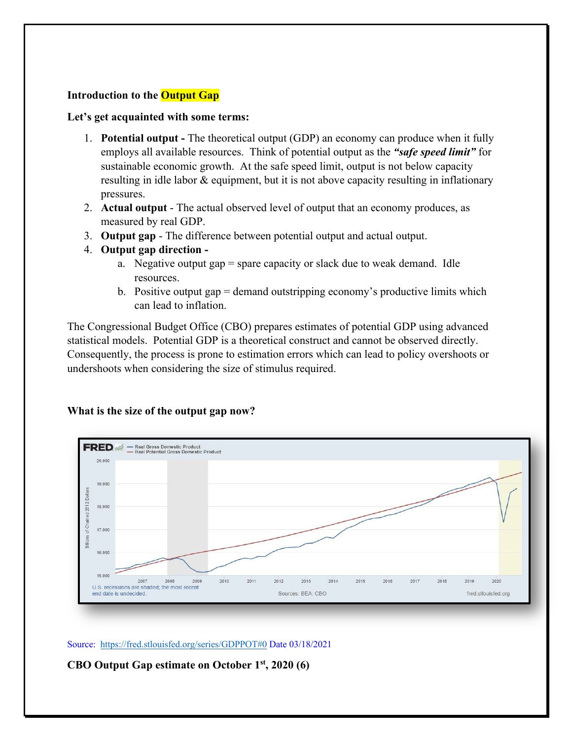# **Introduction to the Output Gap**

#### **Let's get acquainted with some terms:**

- 1. **Potential output -** The theoretical output (GDP) an economy can produce when it fully employs all available resources. Think of potential output as the *"safe speed limit"* for sustainable economic growth. At the safe speed limit, output is not below capacity resulting in idle labor & equipment, but it is not above capacity resulting in inflationary pressures.
- 2. **Actual output** The actual observed level of output that an economy produces, as measured by real GDP.
- 3. **Output gap** The difference between potential output and actual output.
- 4. **Output gap direction** 
	- a. Negative output gap  $=$  spare capacity or slack due to weak demand. Idle resources.
	- b. Positive output gap = demand outstripping economy's productive limits which can lead to inflation.

The Congressional Budget Office (CBO) prepares estimates of potential GDP using advanced statistical models. Potential GDP is a theoretical construct and cannot be observed directly. Consequently, the process is prone to estimation errors which can lead to policy overshoots or undershoots when considering the size of stimulus required.

#### **What is the size of the output gap now?**



Source: https://fred.stlouisfed.org/series/GDPPOT#0 Date 03/18/2021

**CBO Output Gap estimate on October 1st, 2020 (6)**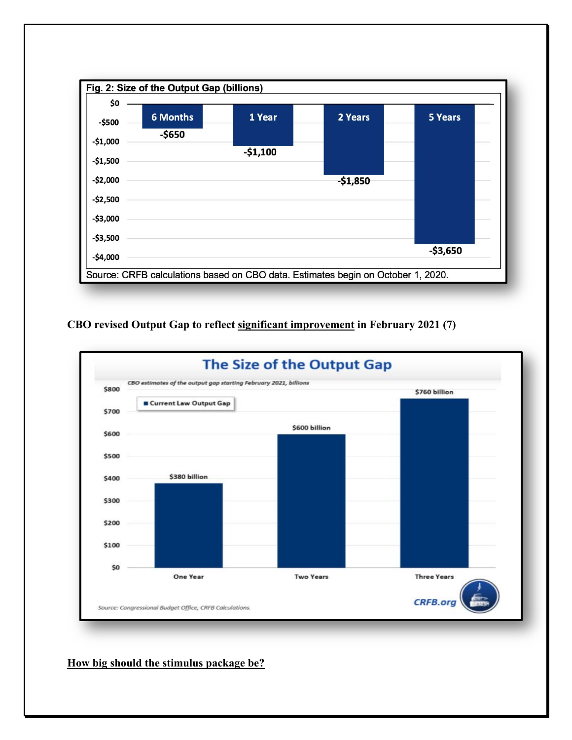

**CBO revised Output Gap to reflect significant improvement in February 2021 (7)**



**How big should the stimulus package be?**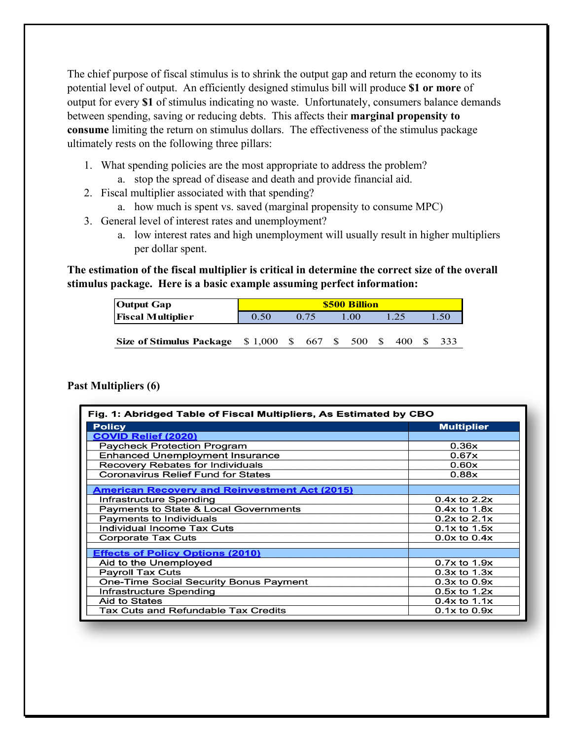The chief purpose of fiscal stimulus is to shrink the output gap and return the economy to its potential level of output. An efficiently designed stimulus bill will produce **\$1 or more** of output for every **\$1** of stimulus indicating no waste. Unfortunately, consumers balance demands between spending, saving or reducing debts. This affects their **marginal propensity to consume** limiting the return on stimulus dollars. The effectiveness of the stimulus package ultimately rests on the following three pillars:

- 1. What spending policies are the most appropriate to address the problem?
	- a. stop the spread of disease and death and provide financial aid.
- 2. Fiscal multiplier associated with that spending?
	- a. how much is spent vs. saved (marginal propensity to consume MPC)
- 3. General level of interest rates and unemployment?
	- a. low interest rates and high unemployment will usually result in higher multipliers per dollar spent.

**The estimation of the fiscal multiplier is critical in determine the correct size of the overall stimulus package. Here is a basic example assuming perfect information:** 

| <b>Output Gap</b>                        | <b>\$500 Billion</b> |  |      |                 |      |  |     |  |      |  |
|------------------------------------------|----------------------|--|------|-----------------|------|--|-----|--|------|--|
| <b>Fiscal Multiplier</b>                 | 0.50                 |  | 0.75 |                 | 1.00 |  |     |  | 1.50 |  |
|                                          |                      |  |      |                 |      |  |     |  |      |  |
| Size of Stimulus Package $$1,000$ $$667$ |                      |  |      | $\sim$ S $\sim$ | 500  |  | 400 |  | 333  |  |

#### **Past Multipliers (6)**

| Fig. 1: Abridged Table of Fiscal Multipliers, As Estimated by CBO |                   |  |  |  |  |
|-------------------------------------------------------------------|-------------------|--|--|--|--|
| <b>Policy</b>                                                     | <b>Multiplier</b> |  |  |  |  |
| <b>COVID Relief (2020)</b>                                        |                   |  |  |  |  |
| <b>Paycheck Protection Program</b>                                | 0.36x             |  |  |  |  |
| <b>Enhanced Unemployment Insurance</b>                            | 0.67x             |  |  |  |  |
| <b>Recovery Rebates for Individuals</b>                           | 0.60x             |  |  |  |  |
| <b>Coronavirus Relief Fund for States</b>                         | 0.88x             |  |  |  |  |
| <b>American Recovery and Reinvestment Act (2015)</b>              |                   |  |  |  |  |
| Infrastructure Spending                                           | $0.4x$ to $2.2x$  |  |  |  |  |
| Payments to State & Local Governments                             | $0.4x$ to $1.8x$  |  |  |  |  |
| Payments to Individuals                                           | $0.2x$ to $2.1x$  |  |  |  |  |
| Individual Income Tax Cuts                                        | $0.1x$ to $1.5x$  |  |  |  |  |
| <b>Corporate Tax Cuts</b>                                         | $0.0x$ to $0.4x$  |  |  |  |  |
| <b>Effects of Policy Options (2010)</b>                           |                   |  |  |  |  |
| Aid to the Unemployed                                             | $0.7x$ to $1.9x$  |  |  |  |  |
| <b>Payroll Tax Cuts</b>                                           | $0.3x$ to $1.3x$  |  |  |  |  |
| <b>One-Time Social Security Bonus Payment</b>                     | $0.3x$ to $0.9x$  |  |  |  |  |
| Infrastructure Spending                                           | $0.5x$ to $1.2x$  |  |  |  |  |
| Aid to States                                                     | $0.4x$ to $1.1x$  |  |  |  |  |
| Tax Cuts and Refundable Tax Credits                               | $0.1x$ to $0.9x$  |  |  |  |  |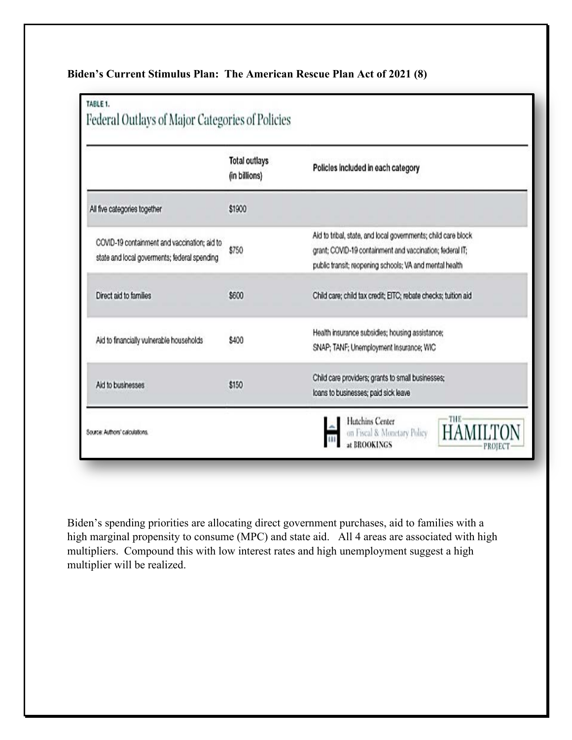|                                                                                              | <b>Total outlays</b><br>(in billions) | Policles included in each category                                                                                                                                                   |  |  |
|----------------------------------------------------------------------------------------------|---------------------------------------|--------------------------------------------------------------------------------------------------------------------------------------------------------------------------------------|--|--|
| All five categories together                                                                 | \$1900                                |                                                                                                                                                                                      |  |  |
| COVID-19 containment and vaccination; aid to<br>state and local goverments; federal spending | \$750                                 | Aid to tribal, state, and local governments; child care block<br>grant; COVID-19 containment and vaccination; federal IT;<br>public transit; reopening schools; VA and mental health |  |  |
| Direct aid to families                                                                       | \$600                                 | Child care; child tax credit; EITC; rebate checks; tuition aid                                                                                                                       |  |  |
| Aid to financially vulnerable households                                                     | \$400                                 | Health insurance subsidies; housing assistance;<br>SNAP; TANF; Unemployment Insurance; WIC                                                                                           |  |  |
| Aid to businesses                                                                            | \$150                                 | Child care providers; grants to small businesses;<br>loans to businesses; paid sick leave                                                                                            |  |  |

Biden's spending priorities are allocating direct government purchases, aid to families with a high marginal propensity to consume (MPC) and state aid. All 4 areas are associated with high multipliers. Compound this with low interest rates and high unemployment suggest a high multiplier will be realized.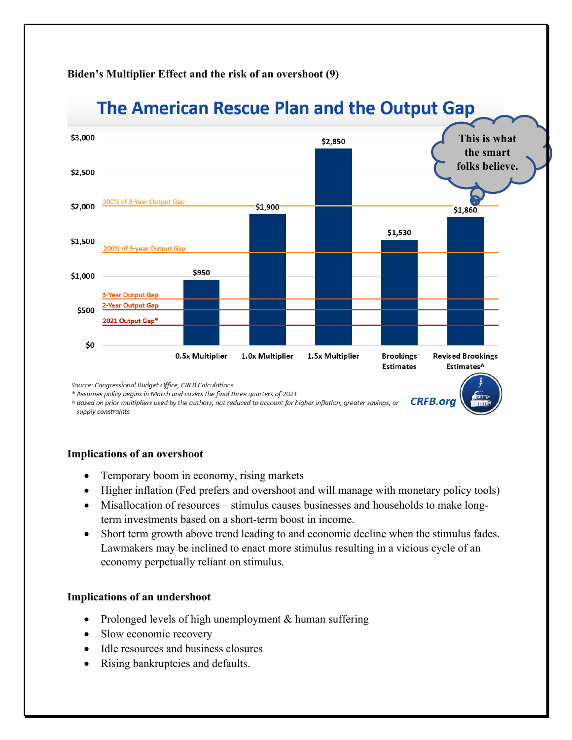# **Biden's Multiplier Effect and the risk of an overshoot (9)**



A Based on prior multipliers used by the authors, not reduced to account for higher inflation, greater savings, or supply constraints

#### **Implications of an overshoot**

- Temporary boom in economy, rising markets
- Higher inflation (Fed prefers and overshoot and will manage with monetary policy tools)
- Misallocation of resources stimulus causes businesses and households to make longterm investments based on a short-term boost in income.
- Short term growth above trend leading to and economic decline when the stimulus fades. Lawmakers may be inclined to enact more stimulus resulting in a vicious cycle of an economy perpetually reliant on stimulus.

# **Implications of an undershoot**

- Prolonged levels of high unemployment & human suffering
- Slow economic recovery
- Idle resources and business closures
- Rising bankruptcies and defaults.